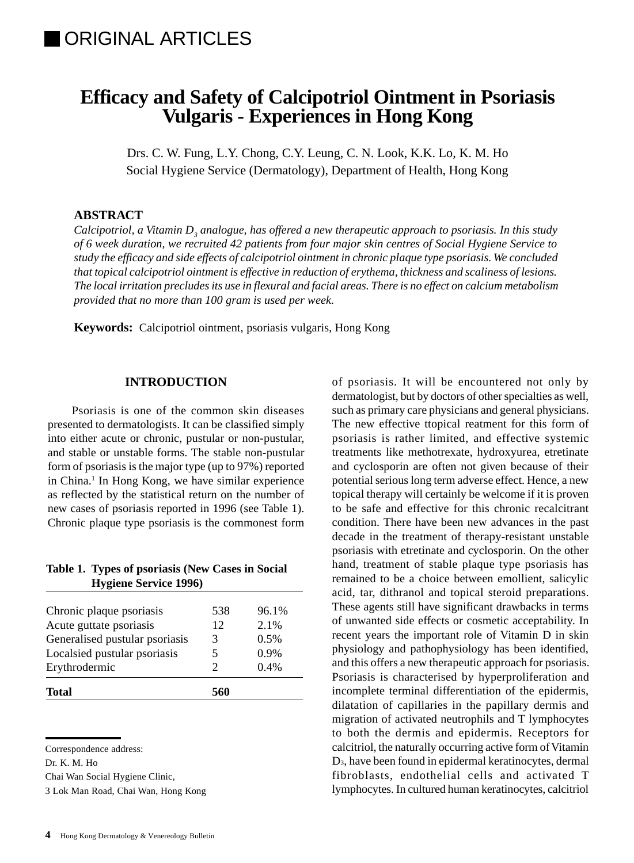# **Efficacy and Safety of Calcipotriol Ointment in Psoriasis Vulgaris - Experiences in Hong Kong**

Drs. C. W. Fung, L.Y. Chong, C.Y. Leung, C. N. Look, K.K. Lo, K. M. Ho Social Hygiene Service (Dermatology), Department of Health, Hong Kong

## **ABSTRACT**

Calcipotriol, a Vitamin  $D_{_3}$  analogue, has offered a new therapeutic approach to psoriasis. In this study *of 6 week duration, we recruited 42 patients from four major skin centres of Social Hygiene Service to study the efficacy and side effects of calcipotriol ointment in chronic plaque type psoriasis. We concluded that topical calcipotriol ointment is effective in reduction of erythema, thickness and scaliness of lesions. The local irritation precludes its use in flexural and facial areas. There is no effect on calcium metabolism provided that no more than 100 gram is used per week.*

**Keywords:** Calcipotriol ointment, psoriasis vulgaris, Hong Kong

#### **INTRODUCTION**

Psoriasis is one of the common skin diseases presented to dermatologists. It can be classified simply into either acute or chronic, pustular or non-pustular, and stable or unstable forms. The stable non-pustular form of psoriasis is the major type (up to 97%) reported in China.<sup>1</sup> In Hong Kong, we have similar experience as reflected by the statistical return on the number of new cases of psoriasis reported in 1996 (see Table 1). Chronic plaque type psoriasis is the commonest form

| Table 1. Types of psoriasis (New Cases in Social |
|--------------------------------------------------|
| <b>Hygiene Service 1996</b>                      |

| Total                          | 560           |       |
|--------------------------------|---------------|-------|
| Erythrodermic                  | $\mathcal{D}$ | 0.4%  |
| Localsied pustular psoriasis   | 5             | 0.9%  |
| Generalised pustular psoriasis | 3             | 0.5%  |
| Acute guttate psoriasis        | 12            | 2.1%  |
| Chronic plaque psoriasis       | 538           | 96.1% |

Correspondence address:

Chai Wan Social Hygiene Clinic,

3 Lok Man Road, Chai Wan, Hong Kong

of psoriasis. It will be encountered not only by dermatologist, but by doctors of other specialties as well, such as primary care physicians and general physicians. The new effective ttopical reatment for this form of psoriasis is rather limited, and effective systemic treatments like methotrexate, hydroxyurea, etretinate and cyclosporin are often not given because of their potential serious long term adverse effect. Hence, a new topical therapy will certainly be welcome if it is proven to be safe and effective for this chronic recalcitrant condition. There have been new advances in the past decade in the treatment of therapy-resistant unstable psoriasis with etretinate and cyclosporin. On the other hand, treatment of stable plaque type psoriasis has remained to be a choice between emollient, salicylic acid, tar, dithranol and topical steroid preparations. These agents still have significant drawbacks in terms of unwanted side effects or cosmetic acceptability. In recent years the important role of Vitamin D in skin physiology and pathophysiology has been identified, and this offers a new therapeutic approach for psoriasis. Psoriasis is characterised by hyperproliferation and incomplete terminal differentiation of the epidermis, dilatation of capillaries in the papillary dermis and migration of activated neutrophils and T lymphocytes to both the dermis and epidermis. Receptors for calcitriol, the naturally occurring active form of Vitamin D3, have been found in epidermal keratinocytes, dermal fibroblasts, endothelial cells and activated T lymphocytes. In cultured human keratinocytes, calcitriol

Dr. K. M. Ho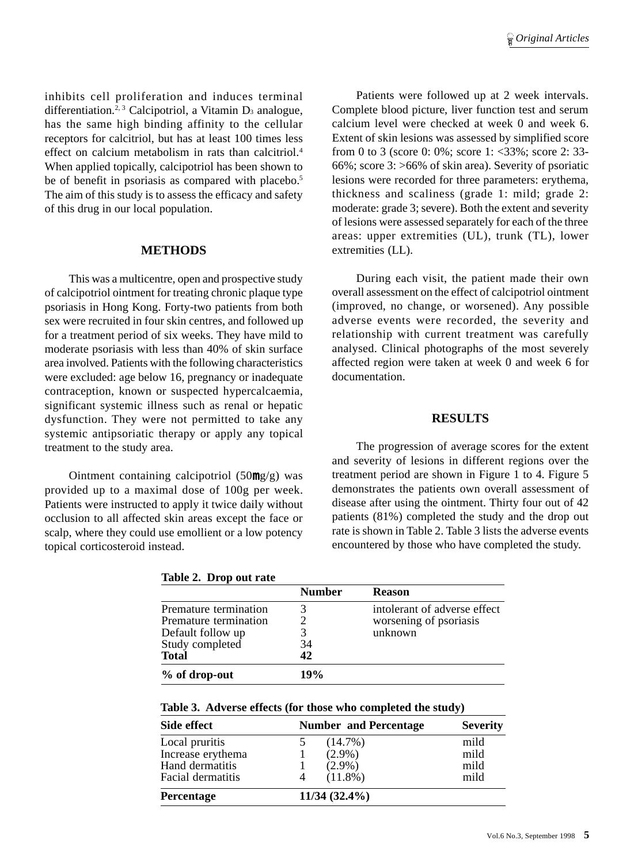inhibits cell proliferation and induces terminal differentiation.<sup>2, 3</sup> Calcipotriol, a Vitamin D<sub>3</sub> analogue, has the same high binding affinity to the cellular receptors for calcitriol, but has at least 100 times less effect on calcium metabolism in rats than calcitriol.<sup>4</sup> When applied topically, calcipotriol has been shown to be of benefit in psoriasis as compared with placebo.<sup>5</sup> The aim of this study is to assess the efficacy and safety of this drug in our local population.

### **METHODS**

This was a multicentre, open and prospective study of calcipotriol ointment for treating chronic plaque type psoriasis in Hong Kong. Forty-two patients from both sex were recruited in four skin centres, and followed up for a treatment period of six weeks. They have mild to moderate psoriasis with less than 40% of skin surface area involved. Patients with the following characteristics were excluded: age below 16, pregnancy or inadequate contraception, known or suspected hypercalcaemia, significant systemic illness such as renal or hepatic dysfunction. They were not permitted to take any systemic antipsoriatic therapy or apply any topical treatment to the study area.

Ointment containing calcipotriol (50mg/g) was provided up to a maximal dose of 100g per week. Patients were instructed to apply it twice daily without occlusion to all affected skin areas except the face or scalp, where they could use emollient or a low potency topical corticosteroid instead.

**Table 2. Drop out rate**

Patients were followed up at 2 week intervals. Complete blood picture, liver function test and serum calcium level were checked at week 0 and week 6. Extent of skin lesions was assessed by simplified score from 0 to 3 (score 0: 0%; score 1: <33%; score 2: 33- 66%; score 3: >66% of skin area). Severity of psoriatic lesions were recorded for three parameters: erythema, thickness and scaliness (grade 1: mild; grade 2: moderate: grade 3; severe). Both the extent and severity of lesions were assessed separately for each of the three areas: upper extremities (UL), trunk (TL), lower extremities (LL).

During each visit, the patient made their own overall assessment on the effect of calcipotriol ointment (improved, no change, or worsened). Any possible adverse events were recorded, the severity and relationship with current treatment was carefully analysed. Clinical photographs of the most severely affected region were taken at week 0 and week 6 for documentation.

#### **RESULTS**

The progression of average scores for the extent and severity of lesions in different regions over the treatment period are shown in Figure 1 to 4. Figure 5 demonstrates the patients own overall assessment of disease after using the ointment. Thirty four out of 42 patients (81%) completed the study and the drop out rate is shown in Table 2. Table 3 lists the adverse events encountered by those who have completed the study.

| Lavit $\Delta$ . Drup out rate |               |                              |  |  |
|--------------------------------|---------------|------------------------------|--|--|
|                                | <b>Number</b> | <b>Reason</b>                |  |  |
| Premature termination          |               | intolerant of adverse effect |  |  |
| Premature termination          |               | worsening of psoriasis       |  |  |
| Default follow up              |               | unknown                      |  |  |
| Study completed                | 34            |                              |  |  |
| <b>Total</b>                   | 42            |                              |  |  |
| % of drop-out                  | 19%           |                              |  |  |

**Table 3. Adverse effects (for those who completed the study)**

| Side effect       | <b>Number and Percentage</b> | <b>Severity</b> |
|-------------------|------------------------------|-----------------|
| Local pruritis    | $(14.7\%)$                   | mild            |
| Increase erythema | $(2.9\%)$                    | mild            |
| Hand dermatitis   | $(2.9\%)$                    | mild            |
| Facial dermatitis | $(11.8\%)$<br>4              | mild            |
| Percentage        | $11/34(32.4\%)$              |                 |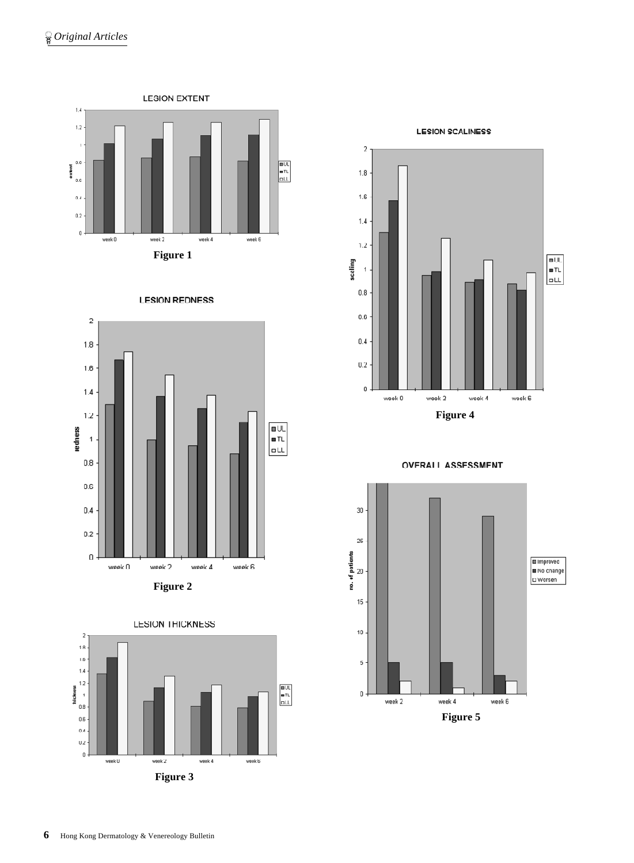











30 25 no. of patients<br> $\overset{\text{Id}}{\cong}$ **Improved**  $\overline{\phantom{a}}$  No change DWorsen 15  $10\,$ 5  $\mathfrak o$  week 2 week 4 week  $6\,$ **Figure 5**

**OVERALL ASSESSMENT**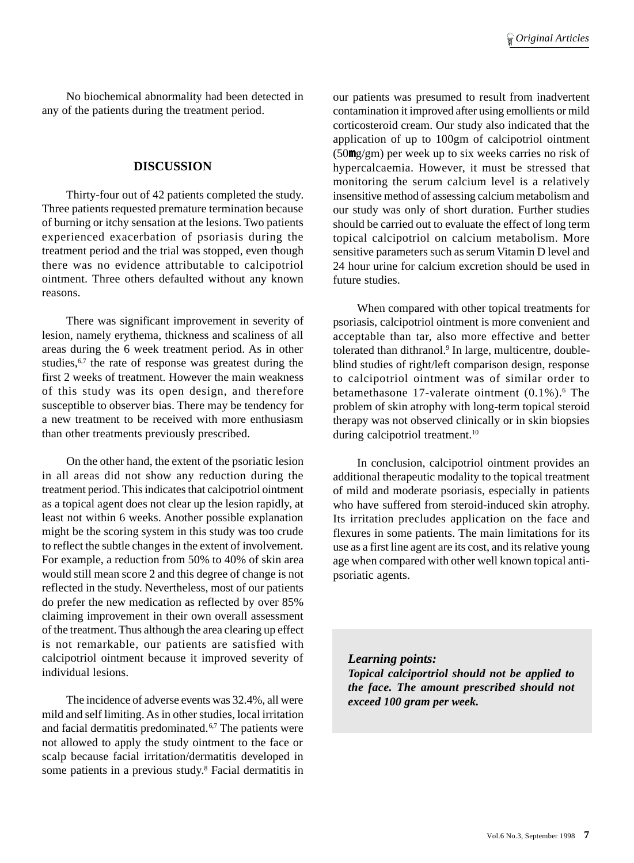No biochemical abnormality had been detected in any of the patients during the treatment period.

### **DISCUSSION**

Thirty-four out of 42 patients completed the study. Three patients requested premature termination because of burning or itchy sensation at the lesions. Two patients experienced exacerbation of psoriasis during the treatment period and the trial was stopped, even though there was no evidence attributable to calcipotriol ointment. Three others defaulted without any known reasons.

There was significant improvement in severity of lesion, namely erythema, thickness and scaliness of all areas during the 6 week treatment period. As in other studies,  $6,7$  the rate of response was greatest during the first 2 weeks of treatment. However the main weakness of this study was its open design, and therefore susceptible to observer bias. There may be tendency for a new treatment to be received with more enthusiasm than other treatments previously prescribed.

On the other hand, the extent of the psoriatic lesion in all areas did not show any reduction during the treatment period. This indicates that calcipotriol ointment as a topical agent does not clear up the lesion rapidly, at least not within 6 weeks. Another possible explanation might be the scoring system in this study was too crude to reflect the subtle changes in the extent of involvement. For example, a reduction from 50% to 40% of skin area would still mean score 2 and this degree of change is not reflected in the study. Nevertheless, most of our patients do prefer the new medication as reflected by over 85% claiming improvement in their own overall assessment of the treatment. Thus although the area clearing up effect is not remarkable, our patients are satisfied with calcipotriol ointment because it improved severity of individual lesions.

The incidence of adverse events was 32.4%, all were mild and self limiting. As in other studies, local irritation and facial dermatitis predominated.6,7 The patients were not allowed to apply the study ointment to the face or scalp because facial irritation/dermatitis developed in some patients in a previous study.<sup>8</sup> Facial dermatitis in

our patients was presumed to result from inadvertent contamination it improved after using emollients or mild corticosteroid cream. Our study also indicated that the application of up to 100gm of calcipotriol ointment (50mg/gm) per week up to six weeks carries no risk of hypercalcaemia. However, it must be stressed that monitoring the serum calcium level is a relatively insensitive method of assessing calcium metabolism and our study was only of short duration. Further studies should be carried out to evaluate the effect of long term topical calcipotriol on calcium metabolism. More sensitive parameters such as serum Vitamin D level and 24 hour urine for calcium excretion should be used in future studies.

When compared with other topical treatments for psoriasis, calcipotriol ointment is more convenient and acceptable than tar, also more effective and better tolerated than dithranol.<sup>9</sup> In large, multicentre, doubleblind studies of right/left comparison design, response to calcipotriol ointment was of similar order to betamethasone 17-valerate ointment (0.1%).<sup>6</sup> The problem of skin atrophy with long-term topical steroid therapy was not observed clinically or in skin biopsies during calcipotriol treatment.<sup>10</sup>

In conclusion, calcipotriol ointment provides an additional therapeutic modality to the topical treatment of mild and moderate psoriasis, especially in patients who have suffered from steroid-induced skin atrophy. Its irritation precludes application on the face and flexures in some patients. The main limitations for its use as a first line agent are its cost, and its relative young age when compared with other well known topical antipsoriatic agents.

*Learning points: Topical calciportriol should not be applied to the face. The amount prescribed should not exceed 100 gram per week.*